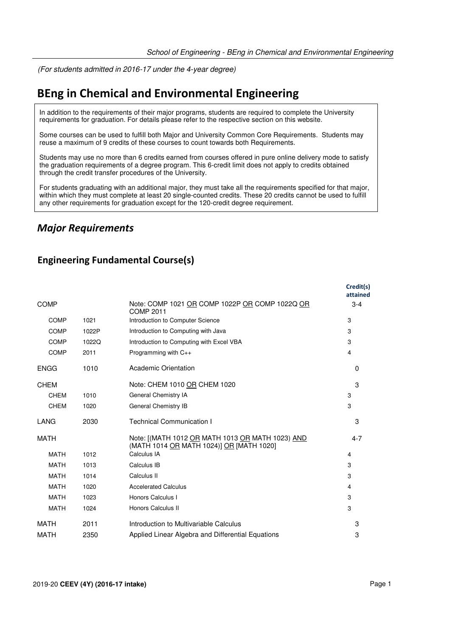(For students admitted in 2016-17 under the 4-year degree)

# **BEng in Chemical and Environmental Engineering**

In addition to the requirements of their major programs, students are required to complete the University requirements for graduation. For details please refer to the respective section on this website.

Some courses can be used to fulfill both Major and University Common Core Requirements. Students may reuse a maximum of 9 credits of these courses to count towards both Requirements.

Students may use no more than 6 credits earned from courses offered in pure online delivery mode to satisfy the graduation requirements of a degree program. This 6-credit limit does not apply to credits obtained through the credit transfer procedures of the University.

For students graduating with an additional major, they must take all the requirements specified for that major, within which they must complete at least 20 single-counted credits. These 20 credits cannot be used to fulfill any other requirements for graduation except for the 120-credit degree requirement.

## *Major Requirements*

### **Engineering Fundamental Course(s)**

|             |       |                                                                                              | Credit(s)<br>attained |
|-------------|-------|----------------------------------------------------------------------------------------------|-----------------------|
| <b>COMP</b> |       | Note: COMP 1021 OR COMP 1022P OR COMP 1022Q OR<br><b>COMP 2011</b>                           | $3 - 4$               |
| <b>COMP</b> | 1021  | Introduction to Computer Science                                                             | 3                     |
| <b>COMP</b> | 1022P | Introduction to Computing with Java                                                          | 3                     |
| COMP        | 1022Q | Introduction to Computing with Excel VBA                                                     | 3                     |
| <b>COMP</b> | 2011  | Programming with $C_{++}$                                                                    | 4                     |
| <b>ENGG</b> | 1010  | Academic Orientation                                                                         | $\Omega$              |
| <b>CHEM</b> |       | Note: CHEM 1010 OR CHEM 1020                                                                 | 3                     |
| <b>CHEM</b> | 1010  | General Chemistry IA                                                                         | 3                     |
| <b>CHEM</b> | 1020  | General Chemistry IB                                                                         | 3                     |
| LANG        | 2030  | <b>Technical Communication I</b>                                                             | 3                     |
| <b>MATH</b> |       | Note: [(MATH 1012 OR MATH 1013 OR MATH 1023) AND<br>(MATH 1014 OR MATH 1024)] OR [MATH 1020] | $4 - 7$               |
| <b>MATH</b> | 1012  | Calculus IA                                                                                  | 4                     |
| <b>MATH</b> | 1013  | Calculus IB                                                                                  | 3                     |
| <b>MATH</b> | 1014  | Calculus II                                                                                  | 3                     |
| <b>MATH</b> | 1020  | <b>Accelerated Calculus</b>                                                                  | 4                     |
| <b>MATH</b> | 1023  | Honors Calculus I                                                                            | 3                     |
| <b>MATH</b> | 1024  | Honors Calculus II                                                                           | 3                     |
| <b>MATH</b> | 2011  | Introduction to Multivariable Calculus                                                       | 3                     |
| <b>MATH</b> | 2350  | Applied Linear Algebra and Differential Equations                                            | 3                     |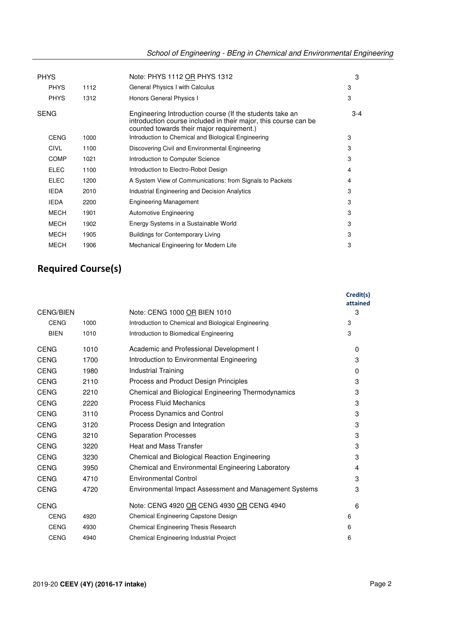| <b>PHYS</b> |      | Note: PHYS 1112 OR PHYS 1312                                                                                                                                             | 3       |
|-------------|------|--------------------------------------------------------------------------------------------------------------------------------------------------------------------------|---------|
| <b>PHYS</b> | 1112 | General Physics I with Calculus                                                                                                                                          | 3       |
| <b>PHYS</b> | 1312 | Honors General Physics I                                                                                                                                                 | 3       |
| <b>SENG</b> |      | Engineering Introduction course (If the students take an<br>introduction course included in their major, this course can be<br>counted towards their major requirement.) | $3 - 4$ |
| <b>CENG</b> | 1000 | Introduction to Chemical and Biological Engineering                                                                                                                      | 3       |
| <b>CIVL</b> | 1100 | Discovering Civil and Environmental Engineering                                                                                                                          | 3       |
| <b>COMP</b> | 1021 | Introduction to Computer Science                                                                                                                                         | 3       |
| <b>ELEC</b> | 1100 | Introduction to Electro-Robot Design                                                                                                                                     | 4       |
| <b>ELEC</b> | 1200 | A System View of Communications: from Signals to Packets                                                                                                                 | 4       |
| <b>IEDA</b> | 2010 | Industrial Engineering and Decision Analytics                                                                                                                            | 3       |
| <b>IEDA</b> | 2200 | <b>Engineering Management</b>                                                                                                                                            | 3       |
| <b>MECH</b> | 1901 | <b>Automotive Engineering</b>                                                                                                                                            | 3       |
| <b>MECH</b> | 1902 | Energy Systems in a Sustainable World                                                                                                                                    | 3       |
| <b>MECH</b> | 1905 | <b>Buildings for Contemporary Living</b>                                                                                                                                 | 3       |
| <b>MECH</b> | 1906 | Mechanical Engineering for Modern Life                                                                                                                                   | 3       |

## **Required Course(s)**

|                  |      |                                                        | Credit(s)<br>attained |
|------------------|------|--------------------------------------------------------|-----------------------|
| <b>CENG/BIEN</b> |      | Note: CENG 1000 OR BIEN 1010                           | 3                     |
| <b>CENG</b>      | 1000 | Introduction to Chemical and Biological Engineering    | 3                     |
| <b>BIEN</b>      | 1010 | Introduction to Biomedical Engineering                 | 3                     |
| <b>CENG</b>      | 1010 | Academic and Professional Development I                | $\Omega$              |
| <b>CENG</b>      | 1700 | Introduction to Environmental Engineering              | 3                     |
| <b>CENG</b>      | 1980 | <b>Industrial Training</b>                             | $\Omega$              |
| <b>CENG</b>      | 2110 | <b>Process and Product Design Principles</b>           | 3                     |
| <b>CENG</b>      | 2210 | Chemical and Biological Engineering Thermodynamics     | 3                     |
| <b>CENG</b>      | 2220 | <b>Process Fluid Mechanics</b>                         | 3                     |
| <b>CENG</b>      | 3110 | Process Dynamics and Control                           | 3                     |
| <b>CENG</b>      | 3120 | Process Design and Integration                         | 3                     |
| <b>CENG</b>      | 3210 | <b>Separation Processes</b>                            | 3                     |
| <b>CENG</b>      | 3220 | <b>Heat and Mass Transfer</b>                          | 3                     |
| <b>CENG</b>      | 3230 | Chemical and Biological Reaction Engineering           | 3                     |
| <b>CENG</b>      | 3950 | Chemical and Environmental Engineering Laboratory      | 4                     |
| <b>CENG</b>      | 4710 | <b>Environmental Control</b>                           | 3                     |
| <b>CENG</b>      | 4720 | Environmental Impact Assessment and Management Systems | 3                     |
| <b>CENG</b>      |      | Note: CENG 4920 OR CENG 4930 OR CENG 4940              | 6                     |
| <b>CENG</b>      | 4920 | Chemical Engineering Capstone Design                   | 6                     |
| <b>CENG</b>      | 4930 | <b>Chemical Engineering Thesis Research</b>            | 6                     |
| <b>CENG</b>      | 4940 | Chemical Engineering Industrial Project                | 6                     |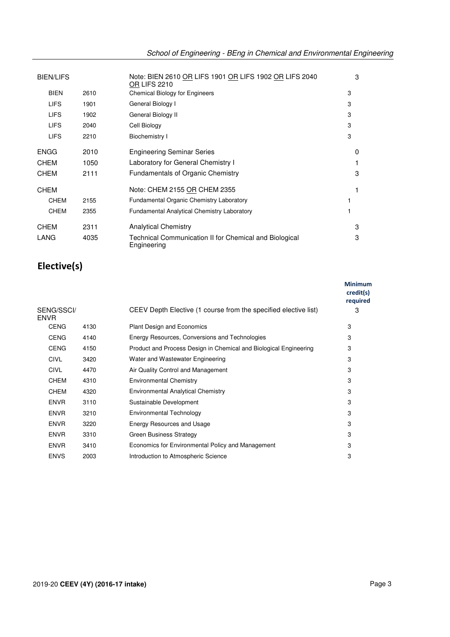| <b>BIEN/LIFS</b> |      | Note: BIEN 2610 OR LIFS 1901 OR LIFS 1902 OR LIFS 2040<br><b>OR LIFS 2210</b> | 3            |
|------------------|------|-------------------------------------------------------------------------------|--------------|
| <b>BIEN</b>      | 2610 | <b>Chemical Biology for Engineers</b>                                         | 3            |
| <b>LIFS</b>      | 1901 | General Biology I                                                             | 3            |
| <b>LIFS</b>      | 1902 | General Biology II                                                            | 3            |
| <b>LIFS</b>      | 2040 | Cell Biology                                                                  | 3            |
| <b>LIFS</b>      | 2210 | Biochemistry I                                                                | 3            |
| <b>ENGG</b>      | 2010 | <b>Engineering Seminar Series</b>                                             | <sup>0</sup> |
| <b>CHEM</b>      | 1050 | Laboratory for General Chemistry I                                            |              |
| <b>CHEM</b>      | 2111 | <b>Fundamentals of Organic Chemistry</b>                                      | 3            |
| <b>CHEM</b>      |      | Note: CHEM 2155 OR CHEM 2355                                                  |              |
| <b>CHEM</b>      | 2155 | Fundamental Organic Chemistry Laboratory                                      |              |
| <b>CHEM</b>      | 2355 | <b>Fundamental Analytical Chemistry Laboratory</b>                            |              |
| <b>CHEM</b>      | 2311 | <b>Analytical Chemistry</b>                                                   | 3            |
| LANG             | 4035 | Technical Communication II for Chemical and Biological<br>Engineering         | 3            |

# **Elective(s)**

|                           |      |                                                                   | <b>Minimum</b><br>credit(s)<br>required |
|---------------------------|------|-------------------------------------------------------------------|-----------------------------------------|
| SENG/SSCI/<br><b>ENVR</b> |      | CEEV Depth Elective (1 course from the specified elective list)   | 3                                       |
| <b>CENG</b>               | 4130 | <b>Plant Design and Economics</b>                                 | 3                                       |
| <b>CENG</b>               | 4140 | Energy Resources, Conversions and Technologies                    | 3                                       |
| <b>CENG</b>               | 4150 | Product and Process Design in Chemical and Biological Engineering | 3                                       |
| <b>CIVL</b>               | 3420 | Water and Wastewater Engineering                                  | 3                                       |
| <b>CIVL</b>               | 4470 | Air Quality Control and Management                                | 3                                       |
| <b>CHEM</b>               | 4310 | <b>Environmental Chemistry</b>                                    | 3                                       |
| <b>CHEM</b>               | 4320 | <b>Environmental Analytical Chemistry</b>                         | 3                                       |
| <b>ENVR</b>               | 3110 | Sustainable Development                                           | 3                                       |
| <b>ENVR</b>               | 3210 | <b>Environmental Technology</b>                                   | 3                                       |
| <b>ENVR</b>               | 3220 | Energy Resources and Usage                                        | 3                                       |
| <b>ENVR</b>               | 3310 | <b>Green Business Strategy</b>                                    | 3                                       |
| <b>ENVR</b>               | 3410 | Economics for Environmental Policy and Management                 | 3                                       |
| <b>ENVS</b>               | 2003 | Introduction to Atmospheric Science                               | 3                                       |
|                           |      |                                                                   |                                         |